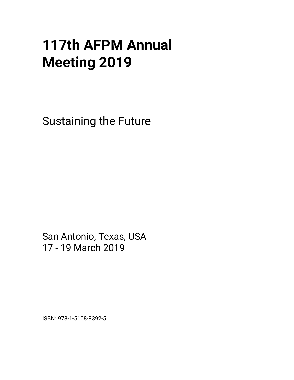## **117th AFPM Annual Meeting 2019**

Sustaining the Future

San Antonio, Texas, USA 17 - 19 March 2019

ISBN: 978-1-5108-8392-5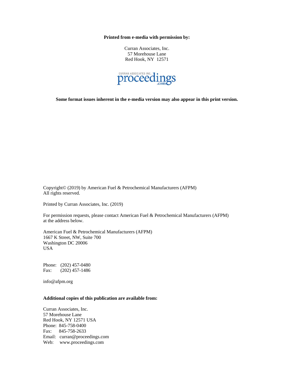**Printed from e-media with permission by:** 

Curran Associates, Inc. 57 Morehouse Lane Red Hook, NY 12571



**Some format issues inherent in the e-media version may also appear in this print version.** 

Copyright© (2019) by American Fuel & Petrochemical Manufacturers (AFPM) All rights reserved.

Printed by Curran Associates, Inc. (2019)

For permission requests, please contact American Fuel & Petrochemical Manufacturers (AFPM) at the address below.

American Fuel & Petrochemical Manufacturers (AFPM) 1667 K Street, NW, Suite 700 Washington DC 20006 USA

Phone: (202) 457-0480 Fax: (202) 457-1486

info@afpm.org

## **Additional copies of this publication are available from:**

Curran Associates, Inc. 57 Morehouse Lane Red Hook, NY 12571 USA Phone: 845-758-0400 Fax: 845-758-2633 Email: curran@proceedings.com Web: www.proceedings.com